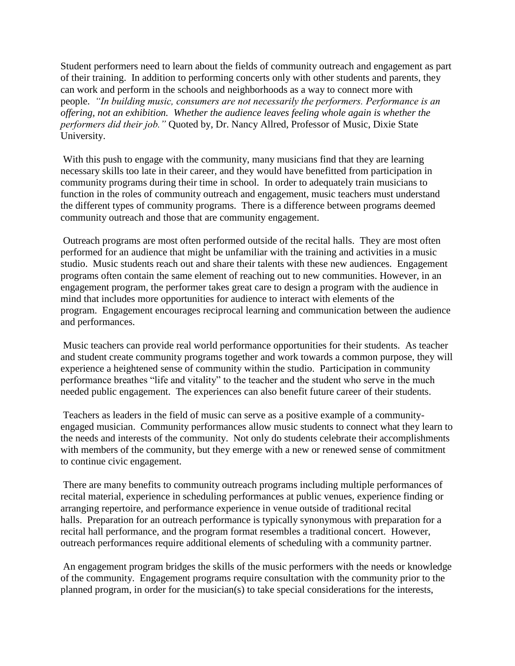Student performers need to learn about the fields of community outreach and engagement as part of their training. In addition to performing concerts only with other students and parents, they can work and perform in the schools and neighborhoods as a way to connect more with people. *"In building music, consumers are not necessarily the performers. Performance is an offering, not an exhibition. Whether the audience leaves feeling whole again is whether the performers did their job."* Quoted by, Dr. Nancy Allred, Professor of Music, Dixie State University.

With this push to engage with the community, many musicians find that they are learning necessary skills too late in their career, and they would have benefitted from participation in community programs during their time in school. In order to adequately train musicians to function in the roles of community outreach and engagement, music teachers must understand the different types of community programs. There is a difference between programs deemed community outreach and those that are community engagement.

Outreach programs are most often performed outside of the recital halls. They are most often performed for an audience that might be unfamiliar with the training and activities in a music studio. Music students reach out and share their talents with these new audiences. Engagement programs often contain the same element of reaching out to new communities. However, in an engagement program, the performer takes great care to design a program with the audience in mind that includes more opportunities for audience to interact with elements of the program. Engagement encourages reciprocal learning and communication between the audience and performances.

Music teachers can provide real world performance opportunities for their students. As teacher and student create community programs together and work towards a common purpose, they will experience a heightened sense of community within the studio. Participation in community performance breathes "life and vitality" to the teacher and the student who serve in the much needed public engagement. The experiences can also benefit future career of their students.

Teachers as leaders in the field of music can serve as a positive example of a communityengaged musician. Community performances allow music students to connect what they learn to the needs and interests of the community. Not only do students celebrate their accomplishments with members of the community, but they emerge with a new or renewed sense of commitment to continue civic engagement.

There are many benefits to community outreach programs including multiple performances of recital material, experience in scheduling performances at public venues, experience finding or arranging repertoire, and performance experience in venue outside of traditional recital halls. Preparation for an outreach performance is typically synonymous with preparation for a recital hall performance, and the program format resembles a traditional concert. However, outreach performances require additional elements of scheduling with a community partner.

An engagement program bridges the skills of the music performers with the needs or knowledge of the community. Engagement programs require consultation with the community prior to the planned program, in order for the musician(s) to take special considerations for the interests,